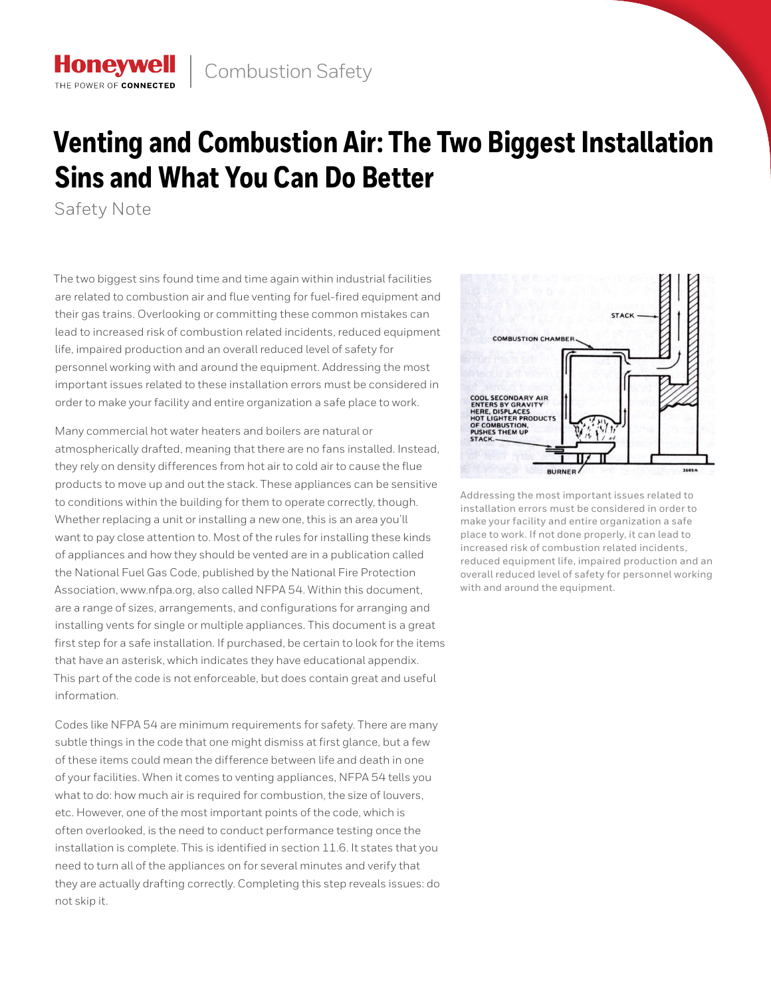## **Venting and Combustion Air: The Two Biggest Installation Sins and What You Can Do Better**

Safety Note

**Honeywell** THE POWER OF CONNECTE

The two biggest sins found time and time again within industrial facilities are related to combustion air and flue venting for fuel-fired equipment and their gas trains. Overlooking or committing these common mistakes can lead to increased risk of combustion related incidents, reduced equipment life, impaired production and an overall reduced level of safety for personnel working with and around the equipment. Addressing the most important issues related to these installation errors must be considered in order to make your facility and entire organization a safe place to work.

Many commercial hot water heaters and boilers are natural or atmospherically drafted, meaning that there are no fans installed. Instead, they rely on density differences from hot air to cold air to cause the flue products to move up and out the stack. These appliances can be sensitive to conditions within the building for them to operate correctly, though. Whether replacing a unit or installing a new one, this is an area you'll want to pay close attention to. Most of the rules for installing these kinds of appliances and how they should be vented are in a publication called the National Fuel Gas Code, published by the National Fire Protection Association, www.nfpa.org, also called NFPA 54. Within this document, are a range of sizes, arrangements, and configurations for arranging and installing vents for single or multiple appliances. This document is a great first step for a safe installation. If purchased, be certain to look for the items that have an asterisk, which indicates they have educational appendix. This part of the code is not enforceable, but does contain great and useful information.

Codes like NFPA 54 are minimum requirements for safety. There are many subtle things in the code that one might dismiss at first glance, but a few of these items could mean the difference between life and death in one of your facilities. When it comes to venting appliances, NFPA 54 tells you what to do: how much air is required for combustion, the size of louvers, etc. However, one of the most important points of the code, which is often overlooked, is the need to conduct performance testing once the installation is complete. This is identified in section 11.6. It states that you need to turn all of the appliances on for several minutes and verify that they are actually drafting correctly. Completing this step reveals issues: do not skip it.



Addressing the most important issues related to installation errors must be considered in order to make your facility and entire organization a safe place to work. If not done properly, it can lead to increased risk of combustion related incidents, reduced equipment life, impaired production and an overall reduced level of safety for personnel working with and around the equipment.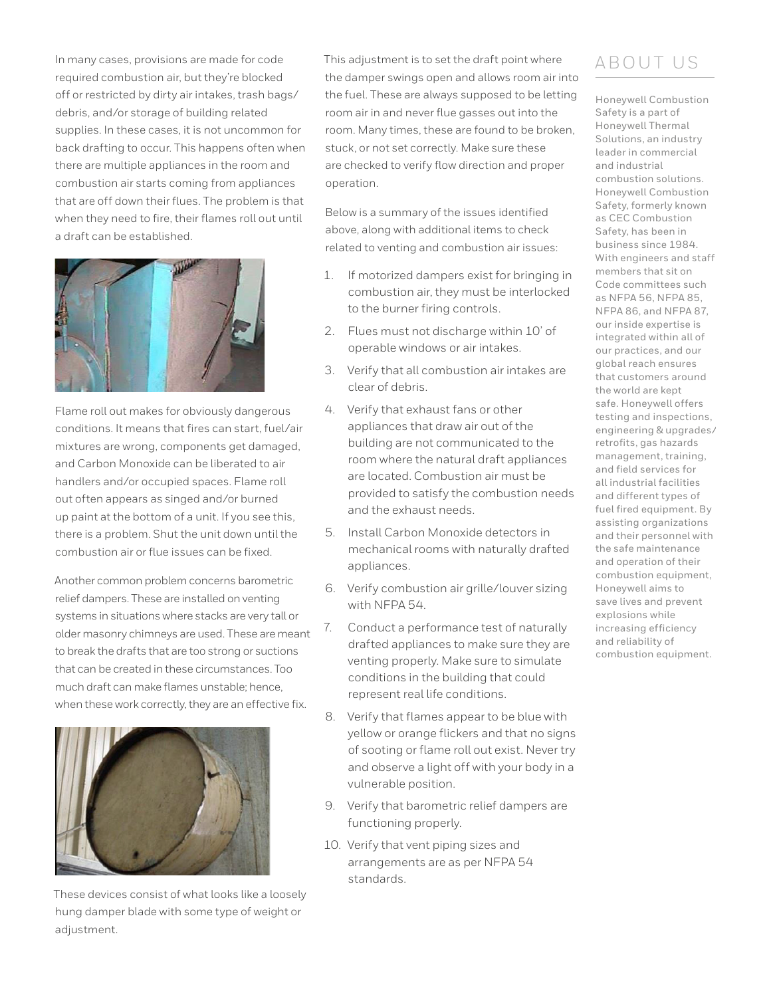In many cases, provisions are made for code required combustion air, but they're blocked off or restricted by dirty air intakes, trash bags/ debris, and/or storage of building related supplies. In these cases, it is not uncommon for back drafting to occur. This happens often when there are multiple appliances in the room and combustion air starts coming from appliances that are off down their flues. The problem is that when they need to fire, their flames roll out until a draft can be established.



Flame roll out makes for obviously dangerous conditions. It means that fires can start, fuel/air mixtures are wrong, components get damaged, and Carbon Monoxide can be liberated to air handlers and/or occupied spaces. Flame roll out often appears as singed and/or burned up paint at the bottom of a unit. If you see this, there is a problem. Shut the unit down until the combustion air or flue issues can be fixed.

Another common problem concerns barometric relief dampers. These are installed on venting systems in situations where stacks are very tall or older masonry chimneys are used. These are meant to break the drafts that are too strong or suctions that can be created in these circumstances. Too much draft can make flames unstable; hence, when these work correctly, they are an effective fix.



These devices consist of what looks like a loosely hung damper blade with some type of weight or adjustment.

This adjustment is to set the draft point where the damper swings open and allows room air into the fuel. These are always supposed to be letting room air in and never flue gasses out into the room. Many times, these are found to be broken, stuck, or not set correctly. Make sure these are checked to verify flow direction and proper operation.

Below is a summary of the issues identified above, along with additional items to check related to venting and combustion air issues:

- 1. If motorized dampers exist for bringing in combustion air, they must be interlocked to the burner firing controls.
- 2. Flues must not discharge within 10' of operable windows or air intakes.
- 3. Verify that all combustion air intakes are clear of debris.
- 4. Verify that exhaust fans or other appliances that draw air out of the building are not communicated to the room where the natural draft appliances are located. Combustion air must be provided to satisfy the combustion needs and the exhaust needs.
- 5. Install Carbon Monoxide detectors in mechanical rooms with naturally drafted appliances.
- 6. Verify combustion air grille/louver sizing with NFPA 54.
- 7. Conduct a performance test of naturally drafted appliances to make sure they are venting properly. Make sure to simulate conditions in the building that could represent real life conditions.
- 8. Verify that flames appear to be blue with yellow or orange flickers and that no signs of sooting or flame roll out exist. Never try and observe a light off with your body in a vulnerable position.
- 9. Verify that barometric relief dampers are functioning properly.
- 10. Verify that vent piping sizes and arrangements are as per NFPA 54 standards.

## ABOUT US

Honeywell Combustion Safety is a part of Honeywell Thermal Solutions, an industry leader in commercial and industrial combustion solutions. Honeywell Combustion Safety, formerly known as CEC Combustion Safety, has been in business since 1984. With engineers and staff members that sit on Code committees such as NFPA 56, NFPA 85, NFPA 86, and NFPA 87, our inside expertise is integrated within all of our practices, and our global reach ensures that customers around the world are kept safe. Honeywell offers testing and inspections, engineering & upgrades/ retrofits, gas hazards management, training, and field services for all industrial facilities and different types of fuel fired equipment. By assisting organizations and their personnel with the safe maintenance and operation of their combustion equipment, Honeywell aims to save lives and prevent explosions while increasing efficiency and reliability of combustion equipment.